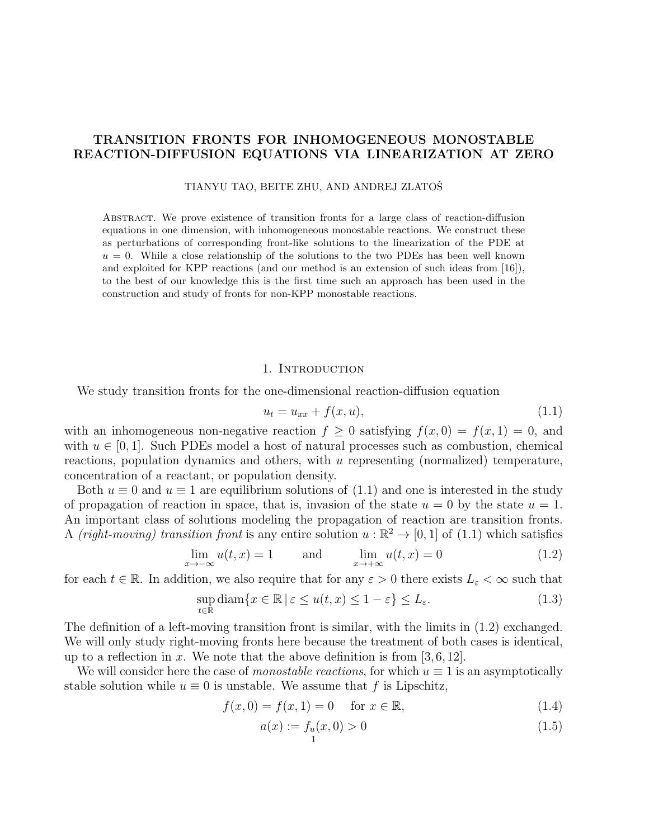## TRANSITION FRONTS FOR INHOMOGENEOUS MONOSTABLE REACTION-DIFFUSION EQUATIONS VIA LINEARIZATION AT ZERO

#### TIANYU TAO, BEITE ZHU, AND ANDREJ ZLATOSˇ

Abstract. We prove existence of transition fronts for a large class of reaction-diffusion equations in one dimension, with inhomogeneous monostable reactions. We construct these as perturbations of corresponding front-like solutions to the linearization of the PDE at  $u = 0$ . While a close relationship of the solutions to the two PDEs has been well known and exploited for KPP reactions (and our method is an extension of such ideas from [16]), to the best of our knowledge this is the first time such an approach has been used in the construction and study of fronts for non-KPP monostable reactions.

### 1. Introduction

We study transition fronts for the one-dimensional reaction-diffusion equation

$$
u_t = u_{xx} + f(x, u),
$$
\n(1.1)

with an inhomogeneous non-negative reaction  $f \geq 0$  satisfying  $f(x, 0) = f(x, 1) = 0$ , and with  $u \in [0, 1]$ . Such PDEs model a host of natural processes such as combustion, chemical reactions, population dynamics and others, with u representing (normalized) temperature, concentration of a reactant, or population density.

Both  $u \equiv 0$  and  $u \equiv 1$  are equilibrium solutions of  $(1.1)$  and one is interested in the study of propagation of reaction in space, that is, invasion of the state  $u = 0$  by the state  $u = 1$ . An important class of solutions modeling the propagation of reaction are transition fronts. A (right-moving) transition front is any entire solution  $u : \mathbb{R}^2 \to [0,1]$  of (1.1) which satisfies

$$
\lim_{x \to -\infty} u(t, x) = 1 \quad \text{and} \quad \lim_{x \to +\infty} u(t, x) = 0 \tag{1.2}
$$

for each  $t \in \mathbb{R}$ . In addition, we also require that for any  $\varepsilon > 0$  there exists  $L_{\varepsilon} < \infty$  such that

$$
\sup_{t \in \mathbb{R}} \text{diam}\{x \in \mathbb{R} \mid \varepsilon \le u(t, x) \le 1 - \varepsilon\} \le L_{\varepsilon}.\tag{1.3}
$$

The definition of a left-moving transition front is similar, with the limits in (1.2) exchanged. We will only study right-moving fronts here because the treatment of both cases is identical, up to a reflection in x. We note that the above definition is from [3, 6, 12].

We will consider here the case of monostable reactions, for which  $u \equiv 1$  is an asymptotically stable solution while  $u \equiv 0$  is unstable. We assume that f is Lipschitz,

$$
f(x,0) = f(x,1) = 0 \quad \text{for } x \in \mathbb{R},
$$
\n(1.4)

$$
a(x) := f_u(x, 0) > 0
$$
\n(1.5)

$$
1^-
$$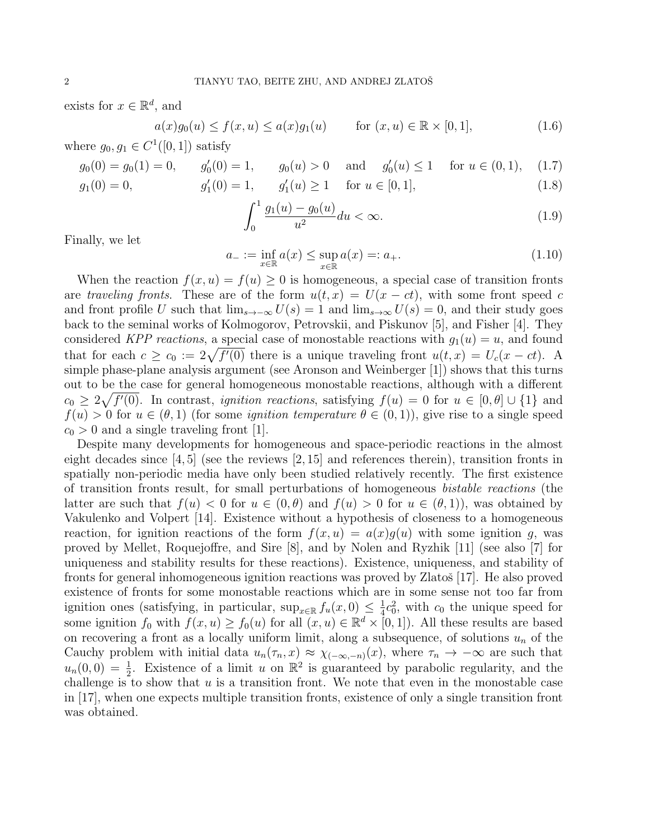exists for  $x \in \mathbb{R}^d$ , and

$$
a(x)g_0(u) \le f(x, u) \le a(x)g_1(u) \quad \text{for } (x, u) \in \mathbb{R} \times [0, 1],
$$
 (1.6)

where  $g_0, g_1 \in C^1([0, 1])$  satisfy

$$
g_0(0) = g_0(1) = 0,
$$
  $g'_0(0) = 1,$   $g_0(u) > 0$  and  $g'_0(u) \le 1$  for  $u \in (0, 1), (1.7)$ 

$$
g_1(0) = 0,
$$
  $g'_1(0) = 1,$   $g'_1(u) \ge 1$  for  $u \in [0, 1],$  (1.8)

$$
\int_0^1 \frac{g_1(u) - g_0(u)}{u^2} du < \infty. \tag{1.9}
$$

Finally, we let

$$
a_{-} := \inf_{x \in \mathbb{R}} a(x) \le \sup_{x \in \mathbb{R}} a(x) =: a_{+}.
$$
 (1.10)

When the reaction  $f(x, u) = f(u) > 0$  is homogeneous, a special case of transition fronts are traveling fronts. These are of the form  $u(t, x) = U(x - ct)$ , with some front speed c and front profile U such that  $\lim_{s\to\infty} U(s) = 1$  and  $\lim_{s\to\infty} U(s) = 0$ , and their study goes back to the seminal works of Kolmogorov, Petrovskii, and Piskunov [5], and Fisher [4]. They considered KPP reactions, a special case of monostable reactions with  $g_1(u) = u$ , and found that for each  $c \geq c_0 := 2\sqrt{f'(0)}$  there is a unique traveling front  $u(t, x) = U_c(x - ct)$ . A simple phase-plane analysis argument (see Aronson and Weinberger [1]) shows that this turns out to be the case for general homogeneous monostable reactions, although with a different  $c_0 \geq 2\sqrt{f'(0)}$ . In contrast, *ignition reactions*, satisfying  $f(u) = 0$  for  $u \in [0, \theta] \cup \{1\}$  and  $f(u) > 0$  for  $u \in (\theta, 1)$  (for some *ignition temperature*  $\theta \in (0, 1)$ ), give rise to a single speed  $c_0 > 0$  and a single traveling front [1].

Despite many developments for homogeneous and space-periodic reactions in the almost eight decades since  $\left[4, 5\right]$  (see the reviews  $\left[2, 15\right]$  and references therein), transition fronts in spatially non-periodic media have only been studied relatively recently. The first existence of transition fronts result, for small perturbations of homogeneous bistable reactions (the latter are such that  $f(u) < 0$  for  $u \in (0, \theta)$  and  $f(u) > 0$  for  $u \in (\theta, 1)$ , was obtained by Vakulenko and Volpert [14]. Existence without a hypothesis of closeness to a homogeneous reaction, for ignition reactions of the form  $f(x, u) = a(x)g(u)$  with some ignition g, was proved by Mellet, Roquejoffre, and Sire [8], and by Nolen and Ryzhik [11] (see also [7] for uniqueness and stability results for these reactions). Existence, uniqueness, and stability of fronts for general inhomogeneous ignition reactions was proved by Zlatoš [17]. He also proved existence of fronts for some monostable reactions which are in some sense not too far from ignition ones (satisfying, in particular, sup<sub>x∈R</sub>  $f_u(x, 0) \leq \frac{1}{4}$  $\frac{1}{4}c_0^2$ , with  $c_0$  the unique speed for some ignition  $f_0$  with  $f(x, u) \ge f_0(u)$  for all  $(x, u) \in \mathbb{R}^d \times [0, 1]$ . All these results are based on recovering a front as a locally uniform limit, along a subsequence, of solutions  $u_n$  of the Cauchy problem with initial data  $u_n(\tau_n, x) \approx \chi_{(-\infty, -n)}(x)$ , where  $\tau_n \to -\infty$  are such that  $u_n(0,0) = \frac{1}{2}$ . Existence of a limit u on  $\mathbb{R}^2$  is guaranteed by parabolic regularity, and the challenge is to show that  $u$  is a transition front. We note that even in the monostable case in [17], when one expects multiple transition fronts, existence of only a single transition front was obtained.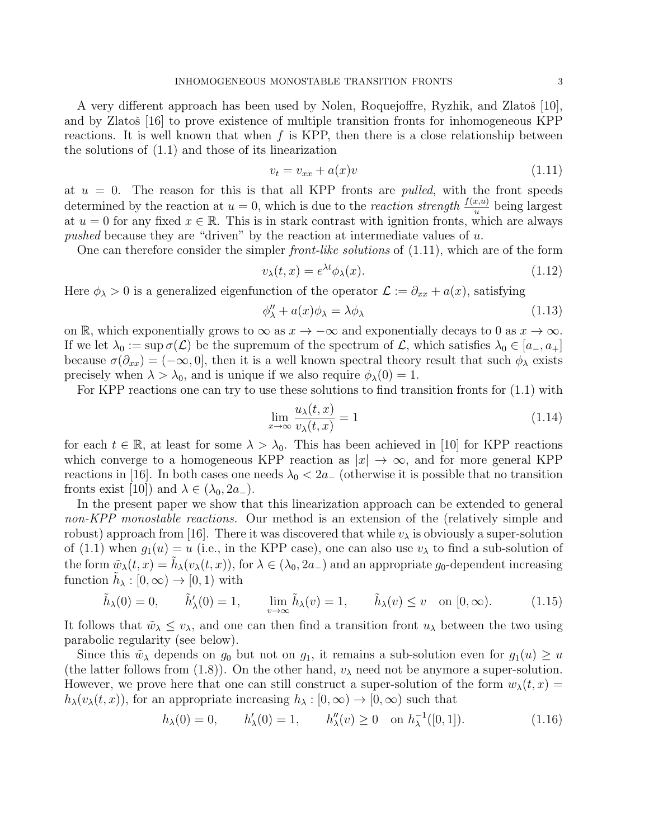A very different approach has been used by Nolen, Roquejoffre, Ryzhik, and Zlatoš [10], and by Zlatoš [16] to prove existence of multiple transition fronts for inhomogeneous KPP reactions. It is well known that when  $f$  is KPP, then there is a close relationship between the solutions of (1.1) and those of its linearization

$$
v_t = v_{xx} + a(x)v \tag{1.11}
$$

at  $u = 0$ . The reason for this is that all KPP fronts are *pulled*, with the front speeds determined by the reaction at  $u = 0$ , which is due to the *reaction strength*  $\frac{f(x,u)}{u}$  being largest at  $u = 0$  for any fixed  $x \in \mathbb{R}$ . This is in stark contrast with ignition fronts, which are always pushed because they are "driven" by the reaction at intermediate values of  $u$ .

One can therefore consider the simpler front-like solutions of (1.11), which are of the form

$$
v_{\lambda}(t,x) = e^{\lambda t} \phi_{\lambda}(x). \tag{1.12}
$$

Here  $\phi_{\lambda} > 0$  is a generalized eigenfunction of the operator  $\mathcal{L} := \partial_{xx} + a(x)$ , satisfying

$$
\phi''_{\lambda} + a(x)\phi_{\lambda} = \lambda \phi_{\lambda} \tag{1.13}
$$

on R, which exponentially grows to  $\infty$  as  $x \to -\infty$  and exponentially decays to 0 as  $x \to \infty$ . If we let  $\lambda_0 := \sup \sigma(\mathcal{L})$  be the supremum of the spectrum of  $\mathcal{L}$ , which satisfies  $\lambda_0 \in [a_-, a_+]$ because  $\sigma(\partial_{xx}) = (-\infty, 0]$ , then it is a well known spectral theory result that such  $\phi_{\lambda}$  exists precisely when  $\lambda > \lambda_0$ , and is unique if we also require  $\phi_{\lambda}(0) = 1$ .

For KPP reactions one can try to use these solutions to find transition fronts for (1.1) with

$$
\lim_{x \to \infty} \frac{u_{\lambda}(t, x)}{v_{\lambda}(t, x)} = 1
$$
\n(1.14)

for each  $t \in \mathbb{R}$ , at least for some  $\lambda > \lambda_0$ . This has been achieved in [10] for KPP reactions which converge to a homogeneous KPP reaction as  $|x| \to \infty$ , and for more general KPP reactions in [16]. In both cases one needs  $\lambda_0 < 2a_-$  (otherwise it is possible that no transition fronts exist [10]) and  $\lambda \in (\lambda_0, 2a_-)$ .

In the present paper we show that this linearization approach can be extended to general non-KPP monostable reactions. Our method is an extension of the (relatively simple and robust) approach from [16]. There it was discovered that while  $v_{\lambda}$  is obviously a super-solution of (1.1) when  $g_1(u) = u$  (i.e., in the KPP case), one can also use  $v_\lambda$  to find a sub-solution of the form  $\tilde{w}_{\lambda}(t,x) = \tilde{h}_{\lambda}(v_{\lambda}(t,x))$ , for  $\lambda \in (\lambda_0, 2a)$  and an appropriate  $g_0$ -dependent increasing function  $\tilde{h}_{\lambda} : [0, \infty) \to [0, 1)$  with

$$
\tilde{h}_{\lambda}(0) = 0, \qquad \tilde{h}'_{\lambda}(0) = 1, \qquad \lim_{v \to \infty} \tilde{h}_{\lambda}(v) = 1, \qquad \tilde{h}_{\lambda}(v) \le v \quad \text{on } [0, \infty). \tag{1.15}
$$

It follows that  $\tilde{w}_{\lambda} \leq v_{\lambda}$ , and one can then find a transition front  $u_{\lambda}$  between the two using parabolic regularity (see below).

Since this  $\tilde{w}_{\lambda}$  depends on  $g_0$  but not on  $g_1$ , it remains a sub-solution even for  $g_1(u) \geq u$ (the latter follows from  $(1.8)$ ). On the other hand,  $v_{\lambda}$  need not be anymore a super-solution. However, we prove here that one can still construct a super-solution of the form  $w_{\lambda}(t, x) =$  $h_{\lambda}(v_{\lambda}(t, x))$ , for an appropriate increasing  $h_{\lambda}: [0, \infty) \to [0, \infty)$  such that

$$
h_{\lambda}(0) = 0, \qquad h'_{\lambda}(0) = 1, \qquad h''_{\lambda}(v) \ge 0 \quad \text{on } h_{\lambda}^{-1}([0, 1]). \tag{1.16}
$$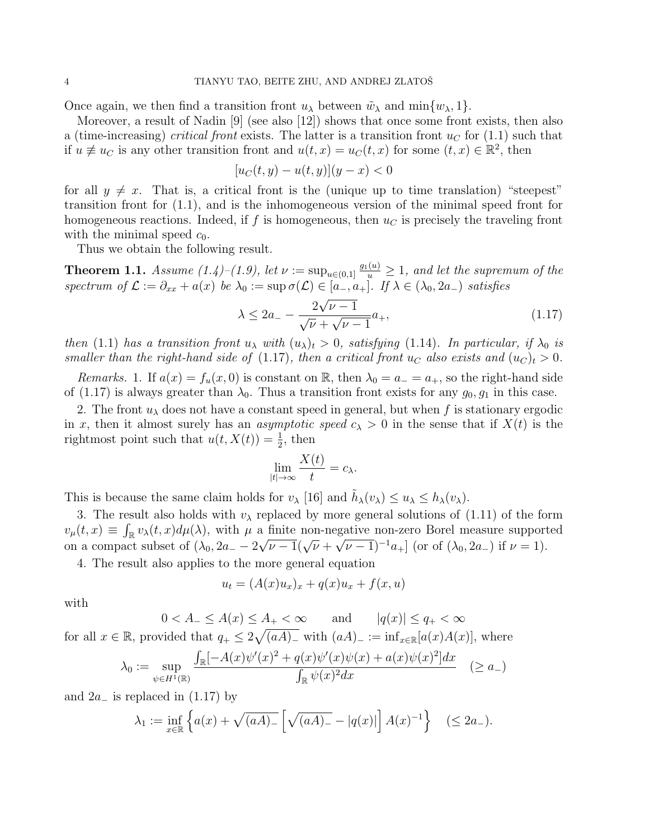Once again, we then find a transition front  $u_{\lambda}$  between  $\tilde{w}_{\lambda}$  and min $\{w_{\lambda}, 1\}$ .

Moreover, a result of Nadin [9] (see also [12]) shows that once some front exists, then also a (time-increasing) *critical front* exists. The latter is a transition front  $u<sub>C</sub>$  for (1.1) such that if  $u \neq u_C$  is any other transition front and  $u(t,x) = u_C(t,x)$  for some  $(t,x) \in \mathbb{R}^2$ , then

$$
[u_C(t, y) - u(t, y)](y - x) < 0
$$

for all  $y \neq x$ . That is, a critical front is the (unique up to time translation) "steepest" transition front for (1.1), and is the inhomogeneous version of the minimal speed front for homogeneous reactions. Indeed, if f is homogeneous, then  $u<sub>C</sub>$  is precisely the traveling front with the minimal speed  $c_0$ .

Thus we obtain the following result.

**Theorem 1.1.** Assume  $(1.4)$ – $(1.9)$ , let  $\nu := \sup_{u \in (0,1]} \frac{g_1(u)}{u} \geq 1$ , and let the supremum of the spectrum of  $\mathcal{L} := \partial_{xx} + a(x)$  be  $\lambda_0 := \sup \sigma(\mathcal{L}) \in [a_-, a_+]$ . If  $\lambda \in (\lambda_0, 2a_-)$  satisfies √

$$
\lambda \le 2a_- - \frac{2\sqrt{\nu - 1}}{\sqrt{\nu} + \sqrt{\nu - 1}} a_+, \tag{1.17}
$$

then (1.1) has a transition front  $u_\lambda$  with  $(u_\lambda)_t > 0$ , satisfying (1.14). In particular, if  $\lambda_0$  is smaller than the right-hand side of (1.17), then a critical front  $u_C$  also exists and  $(u_C)_t > 0$ .

Remarks. 1. If  $a(x) = f_u(x, 0)$  is constant on R, then  $\lambda_0 = a_- = a_+$ , so the right-hand side of (1.17) is always greater than  $\lambda_0$ . Thus a transition front exists for any  $g_0, g_1$  in this case.

2. The front  $u_{\lambda}$  does not have a constant speed in general, but when f is stationary ergodic in x, then it almost surely has an *asymptotic speed*  $c_{\lambda} > 0$  in the sense that if  $X(t)$  is the rightmost point such that  $u(t, X(t)) = \frac{1}{2}$ , then

$$
\lim_{|t| \to \infty} \frac{X(t)}{t} = c_{\lambda}.
$$

This is because the same claim holds for  $v_{\lambda}$  [16] and  $\tilde{h}_{\lambda}(v_{\lambda}) \leq u_{\lambda} \leq h_{\lambda}(v_{\lambda})$ .

3. The result also holds with  $v_{\lambda}$  replaced by more general solutions of (1.11) of the form  $v_\mu(t,x) \equiv \int_{\mathbb{R}} v_\lambda(t,x) d\mu(\lambda)$ , with  $\mu$  a finite non-negative non-zero Borel measure supported on a compact subset of  $(\lambda_0, 2a_-\lambda\sqrt{\nu-1}(\sqrt{\nu}+\sqrt{\nu-1})^{-1}a_+$  (or of  $(\lambda_0, 2a_-)$  if  $\nu = 1$ ).

4. The result also applies to the more general equation

$$
u_t = (A(x)u_x)_x + q(x)u_x + f(x, u)
$$

with

$$
0 < A_{-} \le A(x) \le A_{+} < \infty \qquad \text{and} \qquad |q(x)| \le q_{+} < \infty
$$
\nfor all  $x \in \mathbb{R}$ , provided that  $q_{+} \le 2\sqrt{(aA)_{-}}$  with  $(aA)_{-} := \inf_{x \in \mathbb{R}}[a(x)A(x)]$ , where

$$
\lambda_0 := \sup_{\psi \in H^1(\mathbb{R})} \frac{\int_{\mathbb{R}} [-A(x)\psi'(x)^2 + q(x)\psi'(x)\psi(x) + a(x)\psi(x)^2] dx}{\int_{\mathbb{R}} \psi(x)^2 dx} \quad (\ge a_-)
$$

and  $2a_$  is replaced in  $(1.17)$  by

$$
\lambda_1 := \inf_{x \in \mathbb{R}} \left\{ a(x) + \sqrt{(aA)_{-}} \left[ \sqrt{(aA)_{-}} - |q(x)| \right] A(x)^{-1} \right\} \quad (\le 2a_{-}).
$$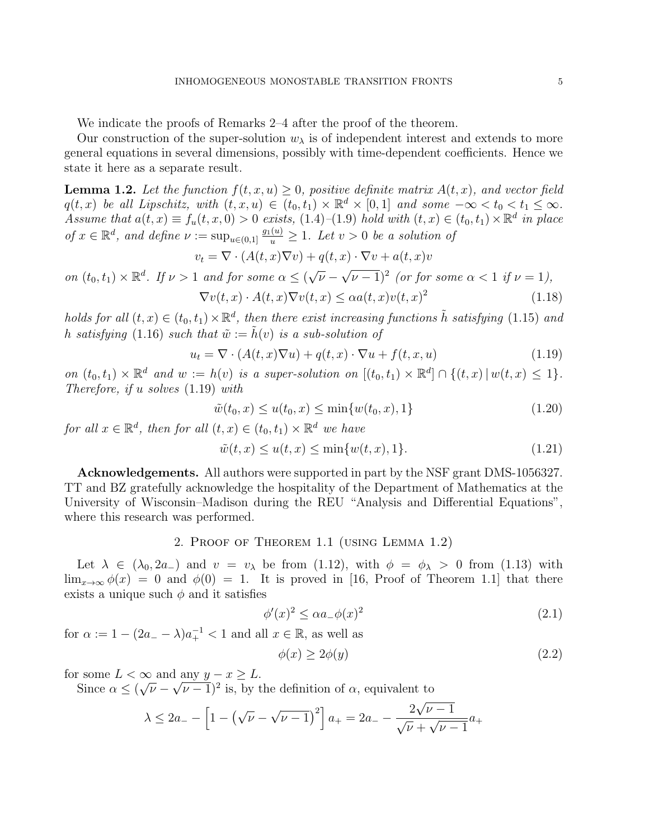We indicate the proofs of Remarks 2–4 after the proof of the theorem.

Our construction of the super-solution  $w_{\lambda}$  is of independent interest and extends to more general equations in several dimensions, possibly with time-dependent coefficients. Hence we state it here as a separate result.

**Lemma 1.2.** Let the function  $f(t, x, u) \geq 0$ , positive definite matrix  $A(t, x)$ , and vector field  $q(t,x)$  be all Lipschitz, with  $(t, x, u) \in (t_0, t_1) \times \mathbb{R}^d \times [0, 1]$  and some  $-\infty < t_0 < t_1 \leq \infty$ . Assume that  $a(t, x) \equiv f_u(t, x, 0) > 0$  exists,  $(1.4)$ - $(1.9)$  hold with  $(t, x) \in (t_0, t_1) \times \mathbb{R}^d$  in place of  $x \in \mathbb{R}^d$ , and define  $\nu := \sup_{u \in (0,1]} \frac{g_1(u)}{u} \geq 1$ . Let  $v > 0$  be a solution of

$$
v_t = \nabla \cdot (A(t, x)\nabla v) + q(t, x) \cdot \nabla v + a(t, x)v
$$

on 
$$
(t_0, t_1) \times \mathbb{R}^d
$$
. If  $\nu > 1$  and for some  $\alpha \le (\sqrt{\nu} - \sqrt{\nu - 1})^2$  (or for some  $\alpha < 1$  if  $\nu = 1$ ),  
\n
$$
\nabla v(t, x) \cdot A(t, x) \nabla v(t, x) \le \alpha a(t, x) v(t, x)^2
$$
\n(1.18)

holds for all  $(t, x) \in (t_0, t_1) \times \mathbb{R}^d$ , then there exist increasing functions  $\tilde{h}$  satisfying (1.15) and h satisfying (1.16) such that  $\tilde{w} := \tilde{h}(v)$  is a sub-solution of

$$
u_t = \nabla \cdot (A(t, x)\nabla u) + q(t, x) \cdot \nabla u + f(t, x, u)
$$
\n(1.19)

on  $(t_0, t_1) \times \mathbb{R}^d$  and  $w := h(v)$  is a super-solution on  $[(t_0, t_1) \times \mathbb{R}^d] \cap \{(t, x) \mid w(t, x) \leq 1\}.$ Therefore, if u solves (1.19) with

$$
\tilde{w}(t_0, x) \le u(t_0, x) \le \min\{w(t_0, x), 1\} \tag{1.20}
$$

for all  $x \in \mathbb{R}^d$ , then for all  $(t, x) \in (t_0, t_1) \times \mathbb{R}^d$  we have

$$
\tilde{w}(t, x) \le u(t, x) \le \min\{w(t, x), 1\}.
$$
\n(1.21)

Acknowledgements. All authors were supported in part by the NSF grant DMS-1056327. TT and BZ gratefully acknowledge the hospitality of the Department of Mathematics at the University of Wisconsin–Madison during the REU "Analysis and Differential Equations", where this research was performed.

### 2. Proof of Theorem 1.1 (using Lemma 1.2)

Let  $\lambda \in (\lambda_0, 2a_{-})$  and  $v = v_{\lambda}$  be from (1.12), with  $\phi = \phi_{\lambda} > 0$  from (1.13) with  $\lim_{x\to\infty}\phi(x) = 0$  and  $\phi(0) = 1$ . It is proved in [16, Proof of Theorem 1.1] that there exists a unique such  $\phi$  and it satisfies

$$
\phi'(x)^2 \le \alpha a_- \phi(x)^2 \tag{2.1}
$$

for  $\alpha := 1 - (2a - \lambda)a_{+}^{-1} < 1$  and all  $x \in \mathbb{R}$ , as well as

$$
\phi(x) \ge 2\phi(y) \tag{2.2}
$$

for some  $L < \infty$  and any  $y - x \geq L$ .  $\alpha$ <sub>/</sub>

Since  $\alpha \leq ($  $\overline{\nu} - \sqrt{\nu - 1}$ <sup>2</sup> is, by the definition of  $\alpha$ , equivalent to √

$$
\lambda \le 2a_- - \left[1 - \left(\sqrt{\nu} - \sqrt{\nu - 1}\right)^2\right]a_+ = 2a_- - \frac{2\sqrt{\nu - 1}}{\sqrt{\nu} + \sqrt{\nu - 1}}a_+
$$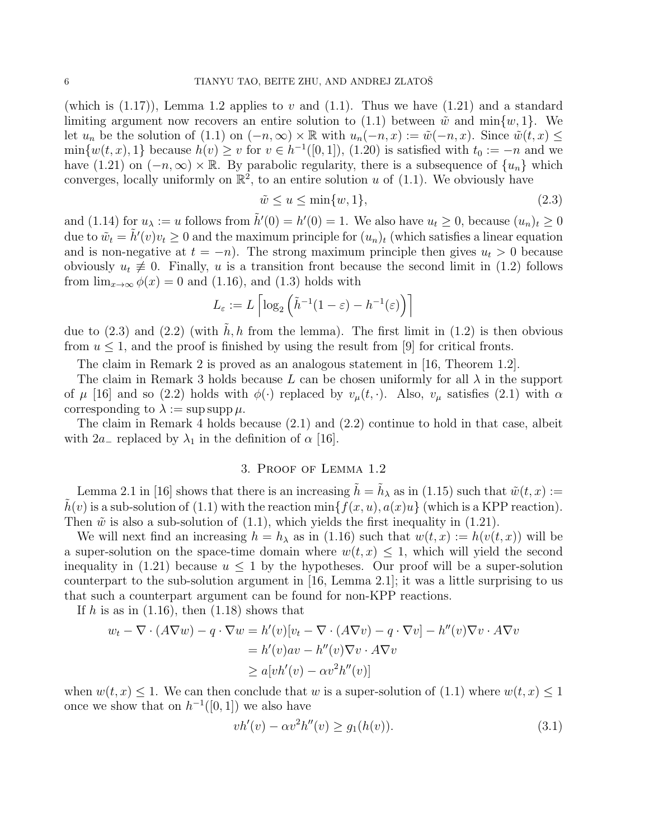(which is  $(1.17)$ ), Lemma 1.2 applies to v and  $(1.1)$ . Thus we have  $(1.21)$  and a standard limiting argument now recovers an entire solution to (1.1) between  $\tilde{w}$  and min $\{w, 1\}$ . We let  $u_n$  be the solution of (1.1) on  $(-n, \infty) \times \mathbb{R}$  with  $u_n(-n, x) := \tilde{w}(-n, x)$ . Since  $\tilde{w}(t, x) \leq$  $\min\{w(t,x),1\}$  because  $h(v) \geq v$  for  $v \in h^{-1}([0,1])$ , (1.20) is satisfied with  $t_0 := -n$  and we have (1.21) on  $(-n, \infty) \times \mathbb{R}$ . By parabolic regularity, there is a subsequence of  $\{u_n\}$  which converges, locally uniformly on  $\mathbb{R}^2$ , to an entire solution u of (1.1). We obviously have

$$
\tilde{w} \le u \le \min\{w, 1\},\tag{2.3}
$$

and (1.14) for  $u_{\lambda} := u$  follows from  $\tilde{h}'(0) = h'(0) = 1$ . We also have  $u_t \ge 0$ , because  $(u_n)_t \ge 0$ due to  $\tilde{w}_t = \tilde{h}'(v)v_t \ge 0$  and the maximum principle for  $(u_n)_t$  (which satisfies a linear equation and is non-negative at  $t = -n$ ). The strong maximum principle then gives  $u_t > 0$  because obviously  $u_t \neq 0$ . Finally, u is a transition front because the second limit in (1.2) follows from  $\lim_{x\to\infty}\phi(x)=0$  and (1.16), and (1.3) holds with

$$
L_{\varepsilon} := L \left[ \log_2 \left( \tilde{h}^{-1} (1 - \varepsilon) - h^{-1}(\varepsilon) \right) \right]
$$

due to  $(2.3)$  and  $(2.2)$  (with h, h from the lemma). The first limit in  $(1.2)$  is then obvious from  $u \leq 1$ , and the proof is finished by using the result from [9] for critical fronts.

The claim in Remark 2 is proved as an analogous statement in [16, Theorem 1.2].

The claim in Remark 3 holds because L can be chosen uniformly for all  $\lambda$  in the support of  $\mu$  [16] and so (2.2) holds with  $\phi(\cdot)$  replaced by  $v_{\mu}(t, \cdot)$ . Also,  $v_{\mu}$  satisfies (2.1) with  $\alpha$ corresponding to  $\lambda := \sup \sup \mu$ .

The claim in Remark 4 holds because (2.1) and (2.2) continue to hold in that case, albeit with  $2a_{-}$  replaced by  $\lambda_1$  in the definition of  $\alpha$  [16].

# 3. Proof of Lemma 1.2

Lemma 2.1 in [16] shows that there is an increasing  $\tilde{h} = \tilde{h}_{\lambda}$  as in (1.15) such that  $\tilde{w}(t, x) :=$  $h(v)$  is a sub-solution of (1.1) with the reaction min $\{f(x, u), a(x)u\}$  (which is a KPP reaction). Then  $\tilde{w}$  is also a sub-solution of (1.1), which yields the first inequality in (1.21).

We will next find an increasing  $h = h_{\lambda}$  as in (1.16) such that  $w(t, x) := h(v(t, x))$  will be a super-solution on the space-time domain where  $w(t, x) \leq 1$ , which will yield the second inequality in  $(1.21)$  because  $u \leq 1$  by the hypotheses. Our proof will be a super-solution counterpart to the sub-solution argument in [16, Lemma 2.1]; it was a little surprising to us that such a counterpart argument can be found for non-KPP reactions.

If h is as in  $(1.16)$ , then  $(1.18)$  shows that

$$
w_t - \nabla \cdot (A \nabla w) - q \cdot \nabla w = h'(v)[v_t - \nabla \cdot (A \nabla v) - q \cdot \nabla v] - h''(v)\nabla v \cdot A \nabla v
$$
  
=  $h'(v)av - h''(v)\nabla v \cdot A \nabla v$   

$$
\geq a[vh'(v) - \alpha v^2 h''(v)]
$$

when  $w(t, x) \leq 1$ . We can then conclude that w is a super-solution of (1.1) where  $w(t, x) \leq 1$ once we show that on  $h^{-1}([0,1])$  we also have

$$
vh'(v) - \alpha v^2 h''(v) \ge g_1(h(v)).
$$
\n(3.1)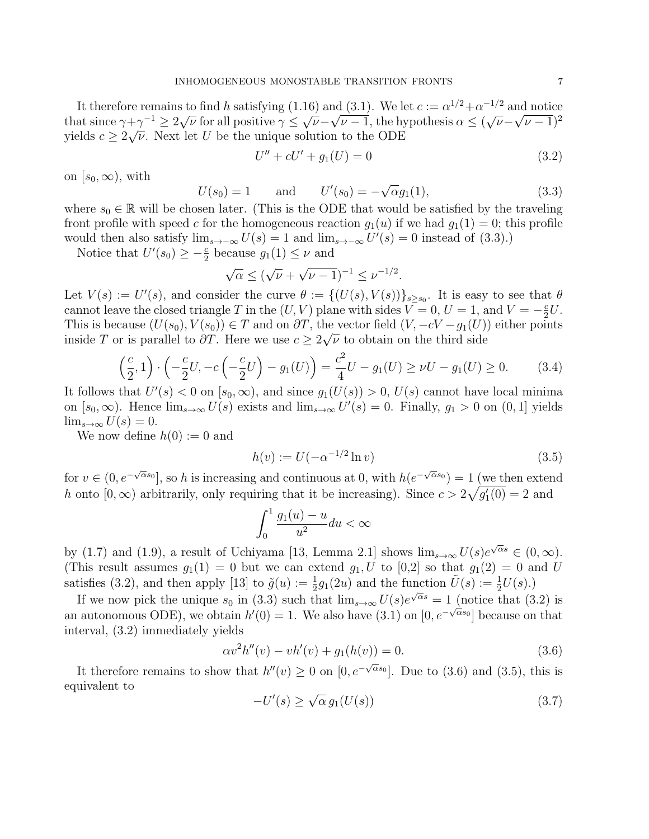It therefore remains to find h satisfying (1.16) and (3.1). We let  $c := \alpha^{1/2} + \alpha^{-1/2}$  and notice that since  $\gamma + \gamma^{-1} \ge 2\sqrt{\nu}$  for all positive  $\gamma \le \sqrt{\nu} - \sqrt{\nu - 1}$ , the hypothesis  $\alpha \le (\sqrt{\nu} - \sqrt{\nu - 1})^2$ yields  $c \geq 2\sqrt{\nu}$ . Next let U be the unique solution to the ODE

$$
U'' + cU' + g_1(U) = 0 \tag{3.2}
$$

on  $[s_0, \infty)$ , with

$$
U(s_0) = 1
$$
 and  $U'(s_0) = -\sqrt{\alpha}g_1(1)$ , (3.3)

where  $s_0 \in \mathbb{R}$  will be chosen later. (This is the ODE that would be satisfied by the traveling front profile with speed c for the homogeneous reaction  $g_1(u)$  if we had  $g_1(1) = 0$ ; this profile would then also satisfy  $\lim_{s\to\infty} U(s) = 1$  and  $\lim_{s\to\infty} U'(s) = 0$  instead of (3.3).)

Notice that  $U'(s_0) \geq -\frac{c}{2}$  because  $g_1(1) \leq \nu$  and

$$
\sqrt{\alpha} \le (\sqrt{\nu} + \sqrt{\nu - 1})^{-1} \le \nu^{-1/2}.
$$

Let  $V(s) := U'(s)$ , and consider the curve  $\theta := \{(U(s), V(s))\}_{s \geq s_0}$ . It is easy to see that  $\theta$ cannot leave the closed triangle T in the  $(U, V)$  plane with sides  $V = 0, U = 1$ , and  $V = -\frac{c}{2}$  $\frac{c}{2}U$ . This is because  $(U(s_0), V(s_0)) \in T$  and on  $\partial T$ , the vector field  $(V, -cV - g_1(U))$  either points inside T or is parallel to  $\partial T$ . Here we use  $c \geq 2\sqrt{\nu}$  to obtain on the third side

$$
\left(\frac{c}{2}, 1\right) \cdot \left(-\frac{c}{2}U, -c\left(-\frac{c}{2}U\right) - g_1(U)\right) = \frac{c^2}{4}U - g_1(U) \ge \nu U - g_1(U) \ge 0. \tag{3.4}
$$

It follows that  $U'(s) < 0$  on  $[s_0, \infty)$ , and since  $g_1(U(s)) > 0$ ,  $U(s)$  cannot have local minima on  $[s_0, \infty)$ . Hence  $\lim_{s\to\infty} U(s)$  exists and  $\lim_{s\to\infty} U'(s) = 0$ . Finally,  $g_1 > 0$  on  $(0, 1]$  yields  $\lim_{s\to\infty} U(s) = 0.$ 

We now define  $h(0) := 0$  and

$$
h(v) := U(-\alpha^{-1/2} \ln v) \tag{3.5}
$$

for  $v \in (0, e^{-\sqrt{\alpha} s_0}]$ , so h is increasing and continuous at 0, with  $h(e^{-\sqrt{\alpha} s_0}) = 1$  (we then extend h onto  $[0, \infty)$  arbitrarily, only requiring that it be increasing). Since  $c > 2\sqrt{g_1'(0)} = 2$  and

$$
\int_0^1 \frac{g_1(u) - u}{u^2} du < \infty
$$

by (1.7) and (1.9), a result of Uchiyama [13, Lemma 2.1] shows  $\lim_{s\to\infty}U(s)e^{\sqrt{\alpha}s} \in (0,\infty)$ . (This result assumes  $g_1(1) = 0$  but we can extend  $g_1, U$  to  $[0,2]$  so that  $g_1(2) = 0$  and U satisfies (3.2), and then apply [13] to  $\tilde{g}(u) := \frac{1}{2}g_1(2u)$  and the function  $\tilde{U}(s) := \frac{1}{2}U(s)$ .

If we now pick the unique  $s_0$  in (3.3) such that  $\lim_{s\to\infty} U(s)e^{\sqrt{\alpha}s} = 1$  (notice that (3.2) is an autonomous ODE), we obtain  $h'(0) = 1$ . We also have  $(3.1)$  on  $[0, e^{-\sqrt{\alpha} s_0}]$  because on that interval, (3.2) immediately yields

$$
\alpha v^2 h''(v) - v h'(v) + g_1(h(v)) = 0.
$$
\n(3.6)

It therefore remains to show that  $h''(v) \geq 0$  on  $[0, e^{-\sqrt{\alpha} s_0}]$ . Due to (3.6) and (3.5), this is equivalent to √

$$
-U'(s) \ge \sqrt{\alpha} \, g_1(U(s)) \tag{3.7}
$$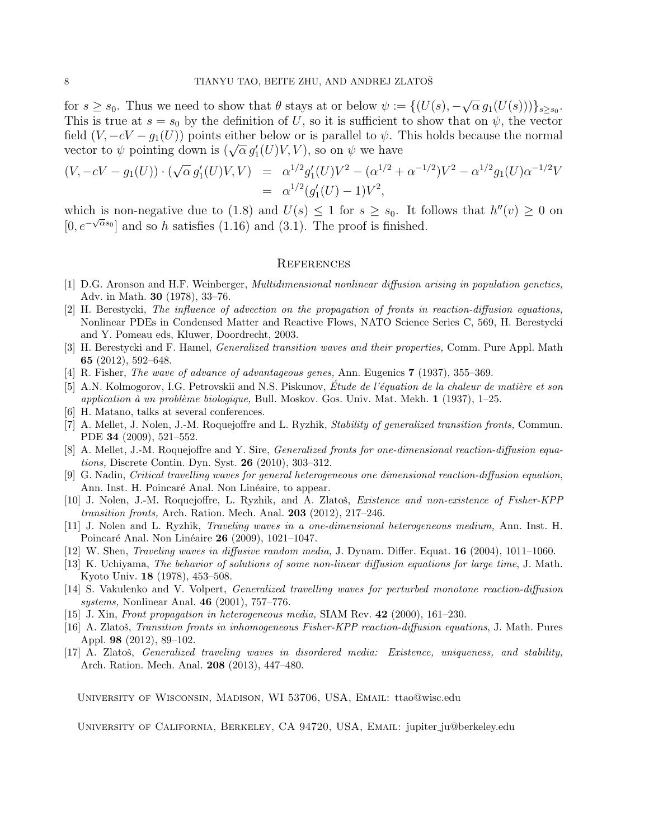for  $s \geq s_0$ . Thus we need to show that  $\theta$  stays at or below  $\psi := \{ (U(s), -\theta) \}$ √  $\overline{\alpha} g_1(U(s)))\}_{s\geq s_0}.$ This is true at  $s = s_0$  by the definition of U, so it is sufficient to show that on  $\psi$ , the vector field  $(V, -cV - g_1(U))$  points either below or is parallel to  $\psi$ . This holds because the normal if the unit  $(v, -cv - g_1(v))$  points either below of is parallel to  $\psi$ .<br>vector to  $\psi$  pointing down is  $(\sqrt{\alpha} g_1'(U)V, V)$ , so on  $\psi$  we have

$$
(V, -cV - g_1(U)) \cdot (\sqrt{\alpha} g_1'(U)V, V) = \alpha^{1/2} g_1'(U)V^2 - (\alpha^{1/2} + \alpha^{-1/2})V^2 - \alpha^{1/2} g_1(U)\alpha^{-1/2}V
$$
  
=  $\alpha^{1/2}(g_1'(U) - 1)V^2$ ,

which is non-negative due to (1.8) and  $U(s) \leq 1$  for  $s \geq s_0$ . It follows that  $h''(v) \geq 0$  on  $[0, e^{-\sqrt{\alpha}s_0}]$  and so h satisfies (1.16) and (3.1). The proof is finished.

#### **REFERENCES**

- [1] D.G. Aronson and H.F. Weinberger, Multidimensional nonlinear diffusion arising in population genetics, Adv. in Math. 30 (1978), 33–76.
- [2] H. Berestycki, The influence of advection on the propagation of fronts in reaction-diffusion equations, Nonlinear PDEs in Condensed Matter and Reactive Flows, NATO Science Series C, 569, H. Berestycki and Y. Pomeau eds, Kluwer, Doordrecht, 2003.
- [3] H. Berestycki and F. Hamel, Generalized transition waves and their properties, Comm. Pure Appl. Math 65 (2012), 592–648.
- [4] R. Fisher, The wave of advance of advantageous genes, Ann. Eugenics 7 (1937), 355–369.
- [5] A.N. Kolmogorov, I.G. Petrovskii and N.S. Piskunov, Étude de l'équation de la chaleur de matière et son application à un problème biologique, Bull. Moskov. Gos. Univ. Mat. Mekh.  $1$  (1937), 1–25.
- [6] H. Matano, talks at several conferences.
- [7] A. Mellet, J. Nolen, J.-M. Roquejoffre and L. Ryzhik, Stability of generalized transition fronts, Commun. PDE 34 (2009), 521–552.
- [8] A. Mellet, J.-M. Roquejoffre and Y. Sire, Generalized fronts for one-dimensional reaction-diffusion equations, Discrete Contin. Dyn. Syst. 26 (2010), 303–312.
- [9] G. Nadin, Critical travelling waves for general heterogeneous one dimensional reaction-diffusion equation, Ann. Inst. H. Poincaré Anal. Non Linéaire, to appear.
- [10] J. Nolen, J.-M. Roquejoffre, L. Ryzhik, and A. Zlatoš, Existence and non-existence of Fisher-KPP transition fronts, Arch. Ration. Mech. Anal. 203 (2012), 217–246.
- [11] J. Nolen and L. Ryzhik, Traveling waves in a one-dimensional heterogeneous medium, Ann. Inst. H. Poincaré Anal. Non Linéaire **26** (2009), 1021–1047.
- [12] W. Shen, Traveling waves in diffusive random media, J. Dynam. Differ. Equat. 16 (2004), 1011–1060.
- [13] K. Uchiyama, The behavior of solutions of some non-linear diffusion equations for large time, J. Math. Kyoto Univ. 18 (1978), 453–508.
- [14] S. Vakulenko and V. Volpert, Generalized travelling waves for perturbed monotone reaction-diffusion systems, Nonlinear Anal. 46 (2001), 757–776.
- [15] J. Xin, Front propagation in heterogeneous media, SIAM Rev. 42 (2000), 161–230.
- [16] A. Zlatoš, Transition fronts in inhomogeneous Fisher-KPP reaction-diffusion equations, J. Math. Pures Appl. 98 (2012), 89–102.
- [17] A. Zlatoš, *Generalized traveling waves in disordered media: Existence, uniqueness, and stability*, Arch. Ration. Mech. Anal. 208 (2013), 447–480.

University of Wisconsin, Madison, WI 53706, USA, Email: ttao@wisc.edu

University of California, Berkeley, CA 94720, USA, Email: jupiter ju@berkeley.edu